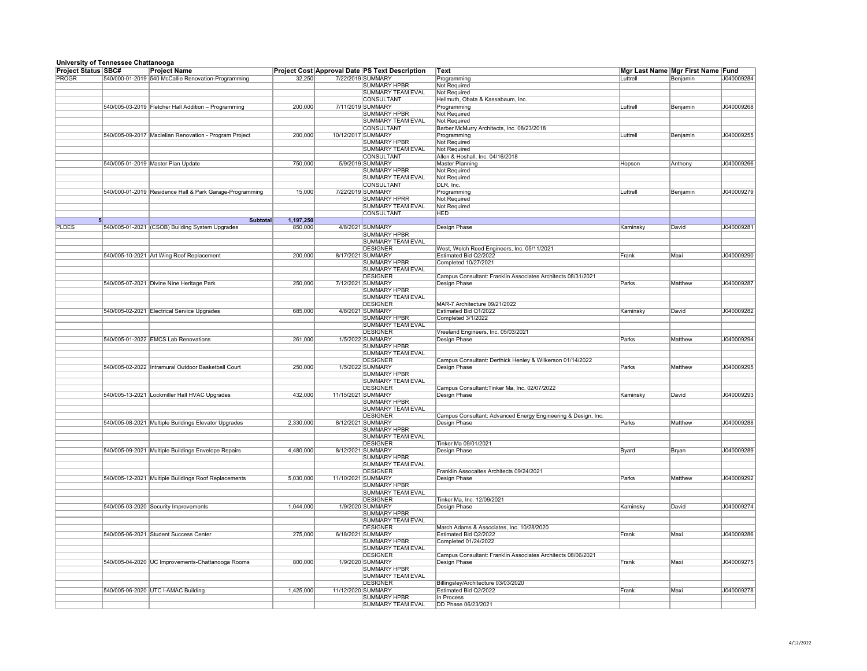| <b>Project Status SBC#</b> | <b>Project Name</b>                                      |           |                    | <b>Project Cost Approval Date PS Text Description</b> | Text                                                          |           | Mgr Last Name Mgr First Name Fund |            |
|----------------------------|----------------------------------------------------------|-----------|--------------------|-------------------------------------------------------|---------------------------------------------------------------|-----------|-----------------------------------|------------|
| <b>PROGR</b>               | 540/000-01-2019 540 McCallie Renovation-Programming      | 32,250    |                    | 7/22/2019 SUMMARY                                     | Programming                                                   | Luttrell  | Benjamin                          | J040009284 |
|                            |                                                          |           |                    | <b>SUMMARY HPBR</b>                                   | Not Required                                                  |           |                                   |            |
|                            |                                                          |           |                    | <b>SUMMARY TEAM EVAL</b>                              | <b>Not Required</b>                                           |           |                                   |            |
|                            |                                                          |           |                    | <b>CONSULTANT</b>                                     | Hellmuth, Obata & Kassabaum, Inc.                             |           |                                   |            |
|                            | 540/005-03-2019 Fletcher Hall Addition - Programming     | 200,000   |                    | 7/11/2019 SUMMARY                                     | Programming                                                   | Luttrell  | Benjamin                          | J040009268 |
|                            |                                                          |           |                    | <b>SUMMARY HPBR</b>                                   | <b>Not Required</b>                                           |           |                                   |            |
|                            |                                                          |           |                    | <b>SUMMARY TEAM EVAL</b>                              | Not Required                                                  |           |                                   |            |
|                            |                                                          |           |                    | <b>CONSULTANT</b>                                     | Barber McMurry Architects, Inc. 08/23/2018                    |           |                                   |            |
|                            | 540/005-09-2017   Maclellan Renovation - Program Project | 200,000   | 10/12/2017 SUMMARY |                                                       |                                                               | Luttrell  | Benjamin                          | J040009255 |
|                            |                                                          |           |                    |                                                       | Programming                                                   |           |                                   |            |
|                            |                                                          |           |                    | <b>SUMMARY HPBR</b>                                   | <b>Not Required</b>                                           |           |                                   |            |
|                            |                                                          |           |                    | <b>SUMMARY TEAM EVAL</b>                              | <b>Not Required</b>                                           |           |                                   |            |
|                            |                                                          |           |                    | <b>CONSULTANT</b>                                     | Allen & Hoshall, Inc. 04/16/2018                              |           |                                   |            |
|                            | 540/005-01-2019 Master Plan Update                       | 750,000   |                    | 5/9/2019 SUMMARY                                      | <b>Master Planning</b>                                        | Hopson    | Anthony                           | J040009266 |
|                            |                                                          |           |                    | <b>SUMMARY HPBR</b>                                   | <b>Not Required</b>                                           |           |                                   |            |
|                            |                                                          |           |                    | <b>SUMMARY TEAM EVAL</b>                              | Not Required                                                  |           |                                   |            |
|                            |                                                          |           |                    | <b>CONSULTANT</b>                                     | DLR, Inc.                                                     |           |                                   |            |
|                            | 540/000-01-2019 Residence Hall & Park Garage-Programming | 15,000    |                    | 7/22/2019 SUMMARY                                     | Programming                                                   | Luttrell  | Benjamin                          | J040009279 |
|                            |                                                          |           |                    | <b>SUMMARY HPRR</b>                                   | <b>Not Required</b>                                           |           |                                   |            |
|                            |                                                          |           |                    | <b>SUMMARY TEAM EVAL</b>                              | <b>Not Required</b>                                           |           |                                   |            |
|                            |                                                          |           |                    | <b>CONSULTANT</b>                                     | HED                                                           |           |                                   |            |
|                            | <b>Subtotal</b>                                          | 1,197,250 |                    |                                                       |                                                               |           |                                   |            |
| <b>PLDES</b>               | 540/005-01-2021 (CSOB) Building System Upgrades          | 850,000   |                    | 4/8/2021 SUMMARY                                      | Design Phase                                                  | Kaminsky  | David                             | J040009281 |
|                            |                                                          |           |                    |                                                       |                                                               |           |                                   |            |
|                            |                                                          |           |                    | <b>SUMMARY HPBR</b>                                   |                                                               |           |                                   |            |
|                            |                                                          |           |                    | <b>SUMMARY TEAM EVAL</b>                              |                                                               |           |                                   |            |
|                            |                                                          |           |                    | <b>DESIGNER</b>                                       | West, Welch Reed Engineers, Inc. 05/11/2021                   |           |                                   |            |
|                            | 540/005-10-2021 Art Wing Roof Replacement                | 200,000   |                    | 8/17/2021 SUMMARY                                     | Estimated Bid Q2/2022                                         | Frank     | Maxi                              | J040009290 |
|                            |                                                          |           |                    | <b>SUMMARY HPBR</b>                                   | Completed 10/27/2021                                          |           |                                   |            |
|                            |                                                          |           |                    | <b>SUMMARY TEAM EVAL</b>                              |                                                               |           |                                   |            |
|                            |                                                          |           |                    | <b>DESIGNER</b>                                       | Campus Consultant: Franklin Associates Architects 08/31/2021  |           |                                   |            |
|                            | 540/005-07-2021 Divine Nine Heritage Park                | 250,000   |                    | 7/12/2021 SUMMARY                                     | Design Phase                                                  | Parks     | Matthew                           | J040009287 |
|                            |                                                          |           |                    | <b>SUMMARY HPBR</b>                                   |                                                               |           |                                   |            |
|                            |                                                          |           |                    | <b>SUMMARY TEAM EVAL</b>                              |                                                               |           |                                   |            |
|                            |                                                          |           |                    | <b>DESIGNER</b>                                       | MAR-7 Architecture 09/21/2022                                 |           |                                   |            |
|                            | 540/005-02-2021 Electrical Service Upgrades              | 685,000   |                    | 4/8/2021 SUMMARY                                      | Estimated Bid Q1/2022                                         | Kaminsky  | David                             | J040009282 |
|                            |                                                          |           |                    | <b>SUMMARY HPBR</b>                                   | Completed 3/1/2022                                            |           |                                   |            |
|                            |                                                          |           |                    |                                                       |                                                               |           |                                   |            |
|                            |                                                          |           |                    | <b>SUMMARY TEAM EVAL</b>                              |                                                               |           |                                   |            |
|                            |                                                          |           |                    | <b>DESIGNER</b>                                       | Vreeland Engineers, Inc. 05/03/2021                           |           |                                   |            |
|                            | 540/005-01-2022 EMCS Lab Renovations                     | 261,000   |                    | 1/5/2022 SUMMARY                                      | <b>Design Phase</b>                                           | Parks     | Matthew                           | J040009294 |
|                            |                                                          |           |                    | <b>SUMMARY HPBR</b>                                   |                                                               |           |                                   |            |
|                            |                                                          |           |                    | <b>SUMMARY TEAM EVAL</b>                              |                                                               |           |                                   |            |
|                            |                                                          |           |                    | <b>DESIGNER</b>                                       | Campus Consultant: Derthick Henley & Wilkerson 01/14/2022     |           |                                   |            |
|                            | 540/005-02-2022  Intramural Outdoor Basketball Court     | 250,000   |                    | 1/5/2022 SUMMARY                                      | Design Phase                                                  | Parks     | Matthew                           | J040009295 |
|                            |                                                          |           |                    | <b>SUMMARY HPBR</b>                                   |                                                               |           |                                   |            |
|                            |                                                          |           |                    | <b>SUMMARY TEAM EVAL</b>                              |                                                               |           |                                   |            |
|                            |                                                          |           |                    | <b>DESIGNER</b>                                       | Campus Consultant: Tinker Ma, Inc. 02/07/2022                 |           |                                   |            |
|                            | 540/005-13-2021 Lockmiller Hall HVAC Upgrades            | 432,000   | 11/15/2021 SUMMARY |                                                       | <b>Design Phase</b>                                           | Kaminsky  | David                             | J040009293 |
|                            |                                                          |           |                    | <b>SUMMARY HPBR</b>                                   |                                                               |           |                                   |            |
|                            |                                                          |           |                    | <b>SUMMARY TEAM EVAL</b>                              |                                                               |           |                                   |            |
|                            |                                                          |           |                    | <b>DESIGNER</b>                                       | Campus Consultant: Advanced Energy Engineering & Design, Inc. |           |                                   |            |
|                            | 540/005-08-2021 Multiple Buildings Elevator Upgrades     | 2,330,000 |                    | 8/12/2021 SUMMARY                                     | Design Phase                                                  | Parks     | Matthew                           | J040009288 |
|                            |                                                          |           |                    | <b>SUMMARY HPBR</b>                                   |                                                               |           |                                   |            |
|                            |                                                          |           |                    | <b>SUMMARY TEAM EVAL</b>                              |                                                               |           |                                   |            |
|                            |                                                          |           |                    | <b>DESIGNER</b>                                       | Tinker Ma 09/01/2021                                          |           |                                   |            |
|                            | 540/005-09-2021 Multiple Buildings Envelope Repairs      |           |                    | 8/12/2021 SUMMARY                                     |                                                               | Byard     |                                   | J040009289 |
|                            |                                                          | 4,480,000 |                    |                                                       | Design Phase                                                  |           | Bryan                             |            |
|                            |                                                          |           |                    | <b>SUMMARY HPBR</b>                                   |                                                               |           |                                   |            |
|                            |                                                          |           |                    | <b>SUMMARY TEAM EVAL</b>                              |                                                               |           |                                   |            |
|                            |                                                          |           |                    | <b>DESIGNER</b>                                       | Franklin Assocaites Architects 09/24/2021                     |           |                                   |            |
|                            | 540/005-12-2021 Multiple Buildings Roof Replacements     | 5,030,000 | 11/10/2021 SUMMARY |                                                       | Design Phase                                                  | Parks     | Matthew                           | J040009292 |
|                            |                                                          |           |                    | <b>SUMMARY HPBR</b>                                   |                                                               |           |                                   |            |
|                            |                                                          |           |                    | <b>SUMMARY TEAM EVAL</b>                              |                                                               |           |                                   |            |
|                            |                                                          |           |                    | <b>DESIGNER</b>                                       | Tinker Ma, Inc. 12/09/2021                                    |           |                                   |            |
|                            | 540/005-03-2020 Security Improvements                    | 1,044,000 |                    | 1/9/2020 SUMMARY                                      | Design Phase                                                  | Kaminsky  | David                             | J040009274 |
|                            |                                                          |           |                    | <b>SUMMARY HPBR</b>                                   |                                                               |           |                                   |            |
|                            |                                                          |           |                    | <b>SUMMARY TEAM EVAL</b>                              |                                                               |           |                                   |            |
|                            |                                                          |           |                    | <b>DESIGNER</b>                                       | March Adams & Associates, Inc. 10/28/2020                     |           |                                   |            |
|                            | 540/005-06-2021 Student Success Center                   | 275,000   |                    | 6/18/2021 SUMMARY                                     | Estimated Bid Q2/2022                                         | $ $ Frank | Maxi                              | J040009286 |
|                            |                                                          |           |                    | <b>SUMMARY HPBR</b>                                   | Completed 01/24/2022                                          |           |                                   |            |
|                            |                                                          |           |                    | <b>SUMMARY TEAM EVAL</b>                              |                                                               |           |                                   |            |
|                            |                                                          |           |                    | <b>DESIGNER</b>                                       | Campus Consultant: Franklin Associates Architects 08/06/2021  |           |                                   |            |
|                            |                                                          | 800,000   |                    | 1/9/2020 SUMMARY                                      | Design Phase                                                  | Frank     | Maxi                              | J040009275 |
|                            | 540/005-04-2020   UC Improvements-Chattanooga Rooms      |           |                    |                                                       |                                                               |           |                                   |            |
|                            |                                                          |           |                    | <b>SUMMARY HPBR</b>                                   |                                                               |           |                                   |            |
|                            |                                                          |           |                    | <b>SUMMARY TEAM EVAL</b>                              |                                                               |           |                                   |            |
|                            |                                                          |           |                    | <b>DESIGNER</b>                                       | Billingsley/Architecture 03/03/2020                           |           |                                   |            |
|                            | 540/005-06-2020 UTC I-AMAC Building                      | 1,425,000 | 11/12/2020 SUMMARY |                                                       | Estimated Bid Q2/2022                                         | Frank     | Maxi                              | J040009278 |
|                            |                                                          |           |                    | <b>SUMMARY HPBR</b>                                   | In Process                                                    |           |                                   |            |
|                            |                                                          |           |                    | <b>SUMMARY TEAM EVAL</b>                              | DD Phase 06/23/2021                                           |           |                                   |            |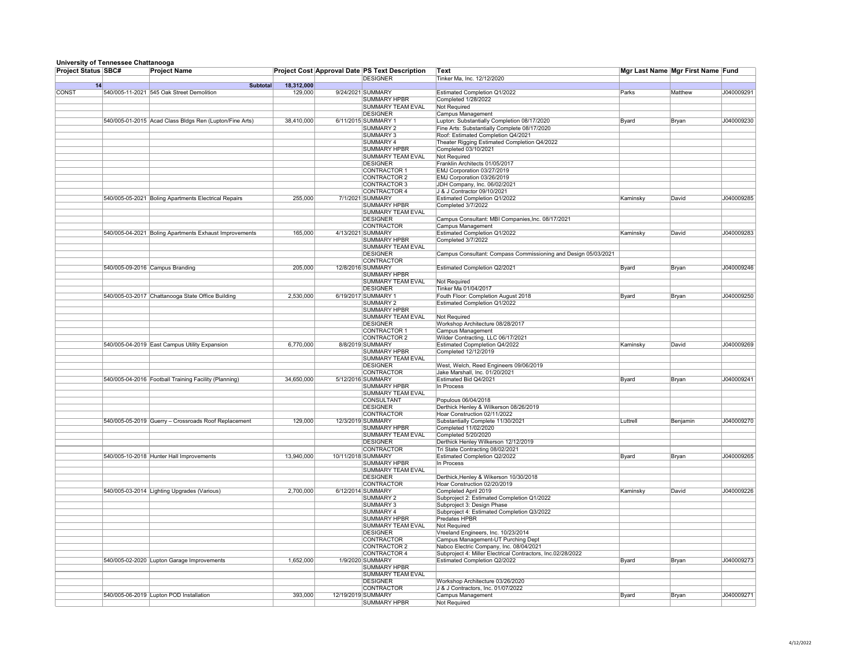| <b>Project Status SBC#</b> |                 | <b>Project Name</b>                                     |            |                    | <b>Project Cost Approval Date PS Text Description</b> | Text                                                                               |           | Mgr Last Name Mgr First Name Fund |            |
|----------------------------|-----------------|---------------------------------------------------------|------------|--------------------|-------------------------------------------------------|------------------------------------------------------------------------------------|-----------|-----------------------------------|------------|
|                            |                 |                                                         |            |                    | <b>DESIGNER</b>                                       | Tinker Ma, Inc. 12/12/2020                                                         |           |                                   |            |
| 14                         |                 | <b>Subtotal</b>                                         | 18,312,000 |                    |                                                       |                                                                                    |           |                                   |            |
| <b>CONST</b>               |                 | 540/005-11-2021 545 Oak Street Demolition               | 129,000    |                    | 9/24/2021 SUMMARY                                     | Estimated Completion Q1/2022                                                       | Parks     | Matthew                           | J040009291 |
|                            |                 |                                                         |            |                    | <b>SUMMARY HPBR</b>                                   | <b>Completed 1/28/2022</b>                                                         |           |                                   |            |
|                            |                 |                                                         |            |                    | <b>SUMMARY TEAM EVAL</b>                              | Not Required                                                                       |           |                                   |            |
|                            |                 |                                                         |            |                    | <b>DESIGNER</b>                                       | <b>Campus Management</b>                                                           |           |                                   |            |
|                            |                 | 540/005-01-2015 Acad Class Bldgs Ren (Lupton/Fine Arts) | 38,410,000 |                    | 6/11/2015 SUMMARY 1                                   | Lupton: Substantially Completion 08/17/2020                                        | Byard     | Bryan                             | J040009230 |
|                            |                 |                                                         |            |                    | <b>SUMMARY 2</b><br><b>SUMMARY 3</b>                  | Fine Arts: Substantially Complete 08/17/2020<br>Roof: Estimated Completion Q4/2021 |           |                                   |            |
|                            |                 |                                                         |            |                    | <b>SUMMARY 4</b>                                      | Theater Rigging Estimated Completion Q4/2022                                       |           |                                   |            |
|                            |                 |                                                         |            |                    | <b>SUMMARY HPBR</b>                                   | <b>Completed 03/10/2021</b>                                                        |           |                                   |            |
|                            |                 |                                                         |            |                    | SUMMARY TEAM EVAL                                     | Not Required                                                                       |           |                                   |            |
|                            |                 |                                                         |            |                    | <b>DESIGNER</b>                                       | Franklin Architects 01/05/2017                                                     |           |                                   |            |
|                            |                 |                                                         |            |                    | CONTRACTOR 1                                          | EMJ Corporation 03/27/2019                                                         |           |                                   |            |
|                            |                 |                                                         |            |                    | CONTRACTOR 2                                          | EMJ Corporation 03/26/2019                                                         |           |                                   |            |
|                            |                 |                                                         |            |                    | <b>CONTRACTOR 3</b>                                   | JDH Company, Inc. 06/02/2021                                                       |           |                                   |            |
|                            |                 |                                                         |            |                    | <b>CONTRACTOR 4</b>                                   | J & J Contractor 09/10/2021                                                        |           |                                   |            |
|                            |                 | 540/005-05-2021 Boling Apartments Electrical Repairs    | 255,000    |                    | 7/1/2021 SUMMARY                                      | Estimated Completion Q1/2022                                                       | Kaminsky  | David                             | J040009285 |
|                            |                 |                                                         |            |                    | <b>SUMMARY HPBR</b>                                   | Completed 3/7/2022                                                                 |           |                                   |            |
|                            |                 |                                                         |            |                    | <b>SUMMARY TEAM EVAL</b><br><b>DESIGNER</b>           | Campus Consultant: MBI Companies, Inc. 08/17/2021                                  |           |                                   |            |
|                            |                 |                                                         |            |                    | <b>CONTRACTOR</b>                                     | <b>Campus Management</b>                                                           |           |                                   |            |
|                            | 540/005-04-2021 | <b>Boling Apartments Exhaust Improvements</b>           | 165,000    |                    | 4/13/2021 SUMMARY                                     | <b>Estimated Completion Q1/2022</b>                                                | Kaminsky  | David                             | J040009283 |
|                            |                 |                                                         |            |                    | <b>SUMMARY HPBR</b>                                   | Completed 3/7/2022                                                                 |           |                                   |            |
|                            |                 |                                                         |            |                    | SUMMARY TEAM EVAL                                     |                                                                                    |           |                                   |            |
|                            |                 |                                                         |            |                    | <b>DESIGNER</b>                                       | Campus Consultant: Compass Commissioning and Design 05/03/2021                     |           |                                   |            |
|                            |                 |                                                         |            |                    | CONTRACTOR                                            |                                                                                    |           |                                   |            |
|                            |                 | 540/005-09-2016 Campus Branding                         | 205,000    |                    | 12/8/2016 SUMMARY                                     | <b>Estimated Completion Q2/2021</b>                                                | Byard     | Bryan                             | J040009246 |
|                            |                 |                                                         |            |                    | SUMMARY HPBR                                          |                                                                                    |           |                                   |            |
|                            |                 |                                                         |            |                    | <b>SUMMARY TEAM EVAL</b>                              | Not Required                                                                       |           |                                   |            |
|                            |                 |                                                         |            |                    | <b>DESIGNER</b>                                       | Tinker Ma 01/04/2017                                                               |           |                                   |            |
|                            |                 | 540/005-03-2017 Chattanooga State Office Building       | 2,530,000  |                    | 6/19/2017 SUMMARY 1<br>SUMMARY 2                      | Fouth Floor: Completion August 2018<br><b>Estimated Completion Q1/2022</b>         | Byard     | Bryan                             | J040009250 |
|                            |                 |                                                         |            |                    | <b>SUMMARY HPBR</b>                                   |                                                                                    |           |                                   |            |
|                            |                 |                                                         |            |                    | <b>SUMMARY TEAM EVAL</b>                              | <b>Not Required</b>                                                                |           |                                   |            |
|                            |                 |                                                         |            |                    | <b>DESIGNER</b>                                       | Workshop Architecture 08/28/2017                                                   |           |                                   |            |
|                            |                 |                                                         |            |                    | CONTRACTOR 1                                          | Campus Management                                                                  |           |                                   |            |
|                            |                 |                                                         |            |                    | CONTRACTOR 2                                          | Wilder Contracting, LLC 06/17/2021                                                 |           |                                   |            |
|                            |                 | 540/005-04-2019 East Campus Utility Expansion           | 6,770,000  |                    | 8/8/2019 SUMMARY                                      | <b>Estimated Copmpletion Q4/2022</b>                                               | Kaminsky  | David                             | J040009269 |
|                            |                 |                                                         |            |                    | <b>SUMMARY HPBR</b>                                   | Completed 12/12/2019                                                               |           |                                   |            |
|                            |                 |                                                         |            |                    | <b>SUMMARY TEAM EVAL</b>                              |                                                                                    |           |                                   |            |
|                            |                 |                                                         |            |                    | <b>DESIGNER</b>                                       | West, Welch, Reed Engineers 09/06/2019                                             |           |                                   |            |
|                            |                 |                                                         |            |                    | <b>CONTRACTOR</b>                                     | Jake Marshall, Inc. 01/20/2021                                                     |           |                                   |            |
|                            |                 | 540/005-04-2016 Football Training Facility (Planning)   | 34,650,000 |                    | 5/12/2016 SUMMARY<br><b>SUMMARY HPBR</b>              | Estimated Bid Q4/2021<br>In Process                                                | Byard     | Bryan                             | J040009241 |
|                            |                 |                                                         |            |                    | <b>SUMMARY TEAM EVAL</b>                              |                                                                                    |           |                                   |            |
|                            |                 |                                                         |            |                    | <b>CONSULTANT</b>                                     | Populous 06/04/2018                                                                |           |                                   |            |
|                            |                 |                                                         |            |                    | <b>DESIGNER</b>                                       | Derthick Henley & Wilkerson 08/26/2019                                             |           |                                   |            |
|                            |                 |                                                         |            |                    | <b>CONTRACTOR</b>                                     | Hoar Construction 02/11/2022                                                       |           |                                   |            |
|                            |                 | 540/005-05-2019 Guerry - Crossroads Roof Replacement    | 129,000    |                    | 12/3/2019 SUMMARY                                     | Substantially Complete 11/30/2021                                                  | Luttrell  | Benjamin                          | J040009270 |
|                            |                 |                                                         |            |                    | <b>SUMMARY HPBR</b>                                   | Completed 11/02/2020                                                               |           |                                   |            |
|                            |                 |                                                         |            |                    | <b>SUMMARY TEAM EVAL</b>                              | Completed 5/20/2020                                                                |           |                                   |            |
|                            |                 |                                                         |            |                    | <b>DESIGNER</b>                                       | Derthick Henley Wilkerson 12/12/2019                                               |           |                                   |            |
|                            |                 |                                                         |            |                    | <b>CONTRACTOR</b>                                     | Tri State Contracting 08/02/2021                                                   |           |                                   |            |
|                            |                 | 540/005-10-2018 Hunter Hall Improvements                | 13,940,000 | 10/11/2018 SUMMARY | <b>SUMMARY HPBR</b>                                   | <b>Estimated Completion Q2/2022</b><br>In Process                                  | Byard     | Bryan                             | J040009265 |
|                            |                 |                                                         |            |                    | SUMMARY TEAM EVAL                                     |                                                                                    |           |                                   |            |
|                            |                 |                                                         |            |                    | <b>DESIGNER</b>                                       | Derthick, Henley & Wikerson 10/30/2018                                             |           |                                   |            |
|                            |                 |                                                         |            |                    | CONTRACTOR                                            | Hoar Construction 02/20/2019                                                       |           |                                   |            |
|                            |                 | 540/005-03-2014 Lighting Upgrades (Various)             | 2,700,000  |                    | 6/12/2014 SUMMARY                                     | Completed April 2019                                                               | ∣Kaminsky | David                             | J040009226 |
|                            |                 |                                                         |            |                    | SUMMARY 2                                             | Subproject 2: Estimated Completion Q1/2022                                         |           |                                   |            |
|                            |                 |                                                         |            |                    | <b>SUMMARY 3</b>                                      | Subproject 3: Design Phase                                                         |           |                                   |            |
|                            |                 |                                                         |            |                    | SUMMARY 4                                             | Subproject 4: Estimated Completion Q3/2022                                         |           |                                   |            |
|                            |                 |                                                         |            |                    | SUMMARY HPBR                                          | <b>Predates HPBR</b>                                                               |           |                                   |            |
|                            |                 |                                                         |            |                    | <b>SUMMARY TEAM EVAL</b>                              | Not Required                                                                       |           |                                   |            |
|                            |                 |                                                         |            |                    | <b>DESIGNER</b>                                       | Vreeland Engineers, Inc. 10/23/2014                                                |           |                                   |            |
|                            |                 |                                                         |            |                    | <b>CONTRACTOR</b><br>CONTRACTOR 2                     | Campus Management-UT Purching Dept<br>Nabco Electric Company, Inc. 08/04/2021      |           |                                   |            |
|                            |                 |                                                         |            |                    | CONTRACTOR 4                                          | Subproject 4: Miller Electrical Contractors, Inc.02/28/2022                        |           |                                   |            |
|                            |                 | 540/005-02-2020 Lupton Garage Improvements              | 1,652,000  |                    | 1/9/2020 SUMMARY                                      | Estimated Completion Q2/2022                                                       | Byard     | Bryan                             | J040009273 |
|                            |                 |                                                         |            |                    | SUMMARY HPBR                                          |                                                                                    |           |                                   |            |
|                            |                 |                                                         |            |                    | SUMMARY TEAM EVAL                                     |                                                                                    |           |                                   |            |
|                            |                 |                                                         |            |                    | <b>DESIGNER</b>                                       | Workshop Architecture 03/26/2020                                                   |           |                                   |            |
|                            |                 |                                                         |            |                    | <b>CONTRACTOR</b>                                     | J & J Contractors, Inc. 01/07/2022                                                 |           |                                   |            |
|                            |                 | 540/005-06-2019 Lupton POD Installation                 | 393,000    | 12/19/2019 SUMMARY |                                                       | <b>Campus Management</b>                                                           | Byard     | Bryan                             | J040009271 |
|                            |                 |                                                         |            |                    | SUMMARY HPBR                                          | <b>Not Required</b>                                                                |           |                                   |            |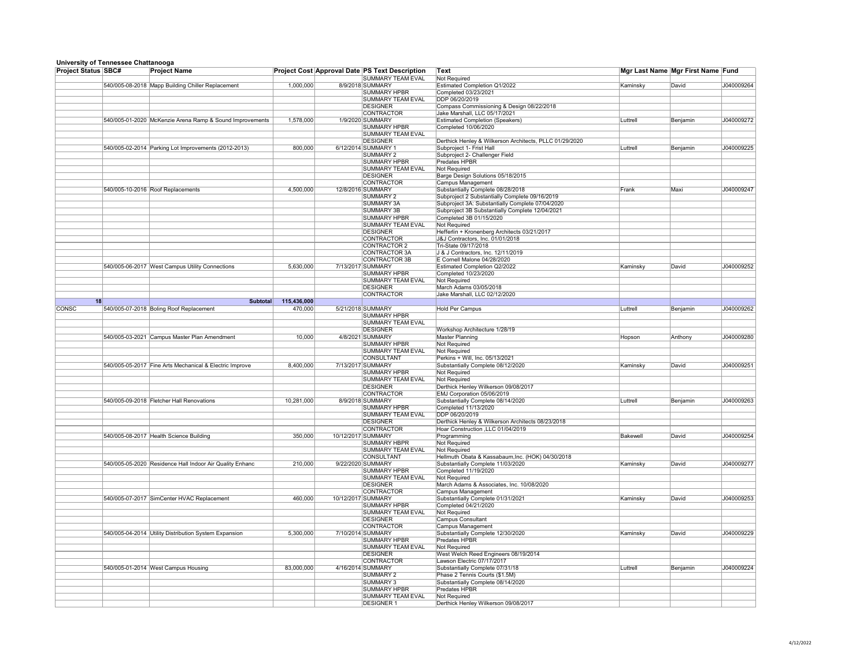| <b>Project Status SBC#</b> | <b>Project Name</b>                                      |             |                    | <b>Project Cost Approval Date PS Text Description</b> | <b>Text</b>                                                                                         |           | Mgr Last Name Mgr First Name Fund |            |
|----------------------------|----------------------------------------------------------|-------------|--------------------|-------------------------------------------------------|-----------------------------------------------------------------------------------------------------|-----------|-----------------------------------|------------|
|                            |                                                          |             |                    | <b>SUMMARY TEAM EVAL</b>                              | <b>Not Required</b>                                                                                 |           |                                   |            |
|                            | 540/005-08-2018 Mapp Building Chiller Replacement        | 1,000,000   |                    | 8/9/2018 SUMMARY                                      | <b>Estimated Completion Q1/2022</b>                                                                 | ∣Kaminsky | David                             | J040009264 |
|                            |                                                          |             |                    | <b>SUMMARY HPBR</b>                                   | Completed 03/23/2021                                                                                |           |                                   |            |
|                            |                                                          |             |                    | <b>SUMMARY TEAM EVAL</b>                              | DDP 06/20/2019                                                                                      |           |                                   |            |
|                            |                                                          |             |                    | <b>DESIGNER</b>                                       | Compass Commissioning & Design 08/22/2018                                                           |           |                                   |            |
|                            |                                                          |             |                    | <b>CONTRACTOR</b>                                     | Jake Marshall, LLC 05/17/2021                                                                       |           |                                   |            |
|                            | 540/005-01-2020 McKenzie Arena Ramp & Sound Improvements | 1,578,000   |                    | 1/9/2020 SUMMARY<br><b>SUMMARY HPBR</b>               | <b>Estimated Completion (Speakers)</b><br>Completed 10/06/2020                                      | Luttrell  | Benjamin                          | J040009272 |
|                            |                                                          |             |                    | <b>SUMMARY TEAM EVAL</b>                              |                                                                                                     |           |                                   |            |
|                            |                                                          |             |                    | <b>DESIGNER</b>                                       | Derthick Henley & Wilkerson Architects, PLLC 01/29/2020                                             |           |                                   |            |
|                            | 540/005-02-2014 Parking Lot Improvements (2012-2013)     | 800,000     |                    | 6/12/2014 SUMMARY 1                                   | Subproject 1- Frist Hall                                                                            | Luttrell  | Benjamin                          | J040009225 |
|                            |                                                          |             |                    | <b>SUMMARY 2</b>                                      | Subproject 2- Challenger Field                                                                      |           |                                   |            |
|                            |                                                          |             |                    | <b>SUMMARY HPBR</b>                                   | <b>Predates HPBR</b>                                                                                |           |                                   |            |
|                            |                                                          |             |                    | <b>SUMMARY TEAM EVAL</b>                              | <b>Not Required</b>                                                                                 |           |                                   |            |
|                            |                                                          |             |                    | <b>DESIGNER</b>                                       | Barge Design Solutions 05/18/2015                                                                   |           |                                   |            |
|                            |                                                          |             |                    | <b>CONTRACTOR</b>                                     | Campus Management                                                                                   |           |                                   |            |
|                            | 540/005-10-2016 Roof Replacements                        | 4,500,000   |                    | 12/8/2016 SUMMARY                                     | Substantially Complete 08/28/2018                                                                   | Frank     | Maxi                              | J040009247 |
|                            |                                                          |             |                    | SUMMARY 2                                             | Subproject 2 Substantially Complete 09/16/2019                                                      |           |                                   |            |
|                            |                                                          |             |                    | <b>SUMMARY 3A</b><br><b>SUMMARY 3B</b>                | Subproject 3A: Substantially Complete 07/04/2020<br>Subproject 3B Substantially Complete 12/04/2021 |           |                                   |            |
|                            |                                                          |             |                    | <b>SUMMARY HPBR</b>                                   | Completed 3B 01/15/2020                                                                             |           |                                   |            |
|                            |                                                          |             |                    | <b>SUMMARY TEAM EVAL</b>                              | <b>Not Required</b>                                                                                 |           |                                   |            |
|                            |                                                          |             |                    | <b>DESIGNER</b>                                       | Hefferlin + Kronenberg Architects 03/21/2017                                                        |           |                                   |            |
|                            |                                                          |             |                    | <b>CONTRACTOR</b>                                     | J&J Contractors, Inc. 01/01/2018                                                                    |           |                                   |            |
|                            |                                                          |             |                    | CONTRACTOR 2                                          | Tri-State 09/17/2018                                                                                |           |                                   |            |
|                            |                                                          |             |                    | CONTRACTOR 3A                                         | J & J Contractors, Inc. 12/11/2019                                                                  |           |                                   |            |
|                            |                                                          |             |                    | CONTRACTOR 3B                                         | E Cornell Malone 04/28/2020                                                                         |           |                                   |            |
|                            | 540/005-06-2017 West Campus Utility Connections          | 5,630,000   |                    | 7/13/2017 SUMMARY                                     | <b>Estimated Completion Q2/2022</b>                                                                 | Kaminsky  | David                             | J040009252 |
|                            |                                                          |             |                    | <b>SUMMARY HPBR</b>                                   | Completed 10/23/2020                                                                                |           |                                   |            |
|                            |                                                          |             |                    | <b>SUMMARY TEAM EVAL</b>                              | <b>Not Required</b>                                                                                 |           |                                   |            |
|                            |                                                          |             |                    | <b>DESIGNER</b><br><b>CONTRACTOR</b>                  | March Adams 03/05/2018<br>Jake Marshall, LLC 02/12/2020                                             |           |                                   |            |
| 18                         | <b>Subtotal</b>                                          | 115,436,000 |                    |                                                       |                                                                                                     |           |                                   |            |
| <b>CONSC</b>               | 540/005-07-2018 Boling Roof Replacement                  | 470,000     |                    | 5/21/2018 SUMMARY                                     | <b>Hold Per Campus</b>                                                                              | Luttrell  | Benjamin                          | J040009262 |
|                            |                                                          |             |                    | <b>SUMMARY HPBR</b>                                   |                                                                                                     |           |                                   |            |
|                            |                                                          |             |                    | <b>SUMMARY TEAM EVAL</b>                              |                                                                                                     |           |                                   |            |
|                            |                                                          |             |                    | <b>DESIGNER</b>                                       | Workshop Architecture 1/28/19                                                                       |           |                                   |            |
|                            | 540/005-03-2021 Campus Master Plan Amendment             | 10,000      |                    | 4/8/2021 SUMMARY                                      | <b>Master Planning</b>                                                                              | Hopson    | Anthony                           | J040009280 |
|                            |                                                          |             |                    | <b>SUMMARY HPBR</b>                                   | <b>Not Required</b>                                                                                 |           |                                   |            |
|                            |                                                          |             |                    | <b>SUMMARY TEAM EVAL</b>                              | <b>Not Required</b>                                                                                 |           |                                   |            |
|                            |                                                          |             |                    | <b>CONSULTANT</b>                                     | Perkins + Will, Inc. 05/13/2021                                                                     |           |                                   |            |
|                            | 540/005-05-2017 Fine Arts Mechanical & Electric Improve  | 8,400,000   |                    | 7/13/2017 SUMMARY                                     | Substantially Complete 08/12/2020                                                                   | Kaminsky  | David                             | J040009251 |
|                            |                                                          |             |                    | <b>SUMMARY HPBR</b>                                   | Not Required                                                                                        |           |                                   |            |
|                            |                                                          |             |                    | <b>SUMMARY TEAM EVAL</b>                              | <b>Not Required</b>                                                                                 |           |                                   |            |
|                            |                                                          |             |                    | <b>DESIGNER</b>                                       | Derthick Henley Wilkerson 09/08/2017                                                                |           |                                   |            |
|                            | 540/005-09-2018 Fletcher Hall Renovations                | 10,281,000  |                    | <b>CONTRACTOR</b><br>8/9/2018 SUMMARY                 | EMJ Corporation 05/06/2019<br>Substantially Complete 08/14/2020                                     | Luttrell  | Benjamin                          | J040009263 |
|                            |                                                          |             |                    | <b>SUMMARY HPBR</b>                                   | <b>Completed 11/13/2020</b>                                                                         |           |                                   |            |
|                            |                                                          |             |                    | <b>SUMMARY TEAM EVAL</b>                              | DDP 06/20/2019                                                                                      |           |                                   |            |
|                            |                                                          |             |                    | <b>DESIGNER</b>                                       | Derthick Henley & Wilkerson Architects 08/23/2018                                                   |           |                                   |            |
|                            |                                                          |             |                    | <b>CONTRACTOR</b>                                     | Hoar Construction, LLC 01/04/2019                                                                   |           |                                   |            |
|                            | 540/005-08-2017 Health Science Building                  | 350,000     | 10/12/2017 SUMMARY |                                                       | Programming                                                                                         | Bakewell  | David                             | J040009254 |
|                            |                                                          |             |                    | <b>SUMMARY HBPR</b>                                   | Not Required                                                                                        |           |                                   |            |
|                            |                                                          |             |                    | <b>SUMMARY TEAM EVAL</b>                              | <b>Not Required</b>                                                                                 |           |                                   |            |
|                            |                                                          |             |                    | <b>CONSULTANT</b>                                     | Hellmuth Obata & Kassabaum, Inc. (HOK) 04/30/2018                                                   |           |                                   |            |
|                            | 540/005-05-2020 Residence Hall Indoor Air Quality Enhanc | 210,000     |                    | 9/22/2020 SUMMARY                                     | Substantially Complete 11/03/2020                                                                   | Kaminsky  | David                             | J040009277 |
|                            |                                                          |             |                    | <b>SUMMARY HPBR</b>                                   | Completed 11/19/2020                                                                                |           |                                   |            |
|                            |                                                          |             |                    | <b>SUMMARY TEAM EVAL</b><br><b>DESIGNER</b>           | <b>Not Required</b>                                                                                 |           |                                   |            |
|                            |                                                          |             |                    | <b>CONTRACTOR</b>                                     | March Adams & Associates, Inc. 10/08/2020<br><b>Campus Management</b>                               |           |                                   |            |
|                            | 540/005-07-2017 SimCenter HVAC Replacement               | 460,000     | 10/12/2017 SUMMARY |                                                       | Substantially Complete 01/31/2021                                                                   | Kaminsky  | David                             | J040009253 |
|                            |                                                          |             |                    | <b>SUMMARY HPBR</b>                                   | Completed 04/21/2020                                                                                |           |                                   |            |
|                            |                                                          |             |                    | <b>SUMMARY TEAM EVAL</b>                              | Not Required                                                                                        |           |                                   |            |
|                            |                                                          |             |                    | <b>DESIGNER</b>                                       | <b>Campus Consultant</b>                                                                            |           |                                   |            |
|                            |                                                          |             |                    | <b>CONTRACTOR</b>                                     | Campus Management                                                                                   |           |                                   |            |
|                            | 540/005-04-2014 Utility Distribution System Expansion    | 5,300,000   |                    | 7/10/2014 SUMMARY                                     | Substantially Complete 12/30/2020                                                                   | Kaminsky  | David                             | J040009229 |
|                            |                                                          |             |                    | <b>SUMMARY HPBR</b>                                   | <b>Predates HPBR</b>                                                                                |           |                                   |            |
|                            |                                                          |             |                    | <b>SUMMARY TEAM EVAL</b>                              | <b>Not Required</b>                                                                                 |           |                                   |            |
|                            |                                                          |             |                    | <b>DESIGNER</b>                                       | West Welch Reed Engineers 08/19/2014                                                                |           |                                   |            |
|                            |                                                          |             |                    | <b>CONTRACTOR</b>                                     | Lawson Electric 07/17/2017                                                                          |           |                                   |            |
|                            | 540/005-01-2014 West Campus Housing                      | 83,000,000  |                    | 4/16/2014 SUMMARY<br>SUMMARY 2                        | Substantially Complete 07/31/18<br>Phase 2 Tennis Courts (\$1.5M)                                   | Luttrell  | Benjamin                          | J040009224 |
|                            |                                                          |             |                    | <b>SUMMARY 3</b>                                      | Substantially Complete 08/14/2020                                                                   |           |                                   |            |
|                            |                                                          |             |                    | <b>SUMMARY HPBR</b>                                   | <b>Predates HPBR</b>                                                                                |           |                                   |            |
|                            |                                                          |             |                    | <b>SUMMARY TEAM EVAL</b>                              | <b>Not Required</b>                                                                                 |           |                                   |            |
|                            |                                                          |             |                    | <b>DESIGNER 1</b>                                     | Derthick Henley Wilkerson 09/08/2017                                                                |           |                                   |            |
|                            |                                                          |             |                    |                                                       |                                                                                                     |           |                                   |            |